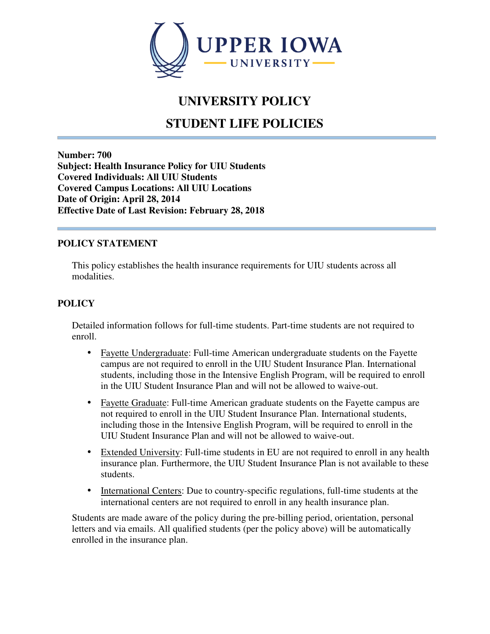

# **UNIVERSITY POLICY**

# **STUDENT LIFE POLICIES**

**Number: 700 Subject: Health Insurance Policy for UIU Students Covered Individuals: All UIU Students Covered Campus Locations: All UIU Locations Date of Origin: April 28, 2014 Effective Date of Last Revision: February 28, 2018** 

#### **POLICY STATEMENT**

This policy establishes the health insurance requirements for UIU students across all modalities.

## **POLICY**

Detailed information follows for full-time students. Part-time students are not required to enroll.

- Fayette Undergraduate: Full-time American undergraduate students on the Fayette campus are not required to enroll in the UIU Student Insurance Plan. International students, including those in the Intensive English Program, will be required to enroll in the UIU Student Insurance Plan and will not be allowed to waive-out.
- Fayette Graduate: Full-time American graduate students on the Fayette campus are not required to enroll in the UIU Student Insurance Plan. International students, including those in the Intensive English Program, will be required to enroll in the UIU Student Insurance Plan and will not be allowed to waive-out.
- Extended University: Full-time students in EU are not required to enroll in any health insurance plan. Furthermore, the UIU Student Insurance Plan is not available to these students.
- International Centers: Due to country-specific regulations, full-time students at the international centers are not required to enroll in any health insurance plan.

Students are made aware of the policy during the pre-billing period, orientation, personal letters and via emails. All qualified students (per the policy above) will be automatically enrolled in the insurance plan.